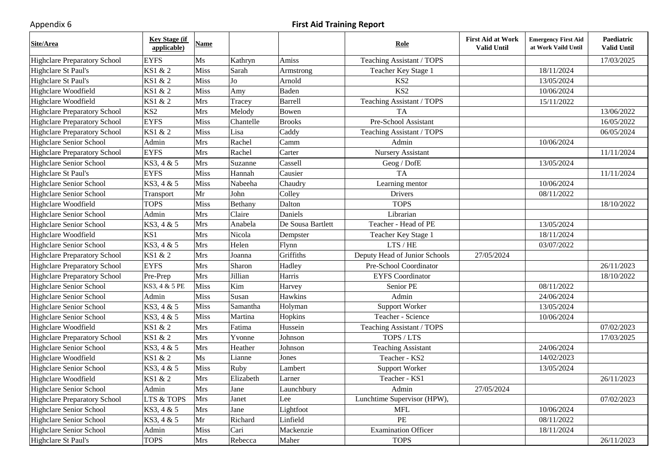## Appendix 6 **First Aid Training Report**

| Site/Area                           | <b>Key Stage (if</b><br>applicable) | <b>Name</b> |           |                   | <b>Role</b>                   | <b>First Aid at Work</b><br><b>Valid Until</b> | <b>Emergency First Aid</b><br>at Work Vaild Until | Paediatric<br><b>Valid Until</b> |
|-------------------------------------|-------------------------------------|-------------|-----------|-------------------|-------------------------------|------------------------------------------------|---------------------------------------------------|----------------------------------|
| <b>Highclare Preparatory School</b> | <b>EYFS</b>                         | Ms          | Kathryn   | Amiss             | Teaching Assistant / TOPS     |                                                |                                                   | 17/03/2025                       |
| Highclare St Paul's                 | KS1 & 2                             | <b>Miss</b> | Sarah     | Armstrong         | Teacher Key Stage 1           |                                                | 18/11/2024                                        |                                  |
| Highclare St Paul's                 | KS1 & 2                             | Miss        | Jo        | Arnold            | KS <sub>2</sub>               |                                                | 13/05/2024                                        |                                  |
| Highclare Woodfield                 | KS1 & 2                             | Miss        | Amy       | Baden             | KS <sub>2</sub>               |                                                | 10/06/2024                                        |                                  |
| Highclare Woodfield                 | KS1 & 2                             | <b>Mrs</b>  | Tracey    | Barrell           | Teaching Assistant / TOPS     |                                                | 15/11/2022                                        |                                  |
| Highclare Preparatory School        | KS <sub>2</sub>                     | Mrs         | Melody    | Bowen             | <b>TA</b>                     |                                                |                                                   | 13/06/2022                       |
| <b>Highclare Preparatory School</b> | <b>EYFS</b>                         | <b>Miss</b> | Chantelle | <b>Brooks</b>     | Pre-School Assistant          |                                                |                                                   | 16/05/2022                       |
| <b>Highclare Preparatory School</b> | KS1 & 2                             | Miss        | Lisa      | Caddy             | Teaching Assistant / TOPS     |                                                |                                                   | 06/05/2024                       |
| <b>Highclare Senior School</b>      | Admin                               | Mrs         | Rachel    | Camm              | Admin                         |                                                | 10/06/2024                                        |                                  |
| <b>Highclare Preparatory School</b> | <b>EYFS</b>                         | Mrs         | Rachel    | Carter            | Nursery Assistant             |                                                |                                                   | 11/11/2024                       |
| Highclare Senior School             | KS3, 4 & 5                          | Mrs         | Suzanne   | Cassell           | Geog / DofE                   |                                                | 13/05/2024                                        |                                  |
| Highclare St Paul's                 | <b>EYFS</b>                         | Miss        | Hannah    | Causier           | <b>TA</b>                     |                                                |                                                   | 11/11/2024                       |
| Highclare Senior School             | KS3, 4 & 5                          | Miss        | Nabeeha   | Chaudry           | Learning mentor               |                                                | 10/06/2024                                        |                                  |
| <b>Highclare Senior School</b>      | Transport                           | Mr          | John      | Colley            | Drivers                       |                                                | 08/11/2022                                        |                                  |
| Highclare Woodfield                 | <b>TOPS</b>                         | Miss        | Bethany   | Dalton            | <b>TOPS</b>                   |                                                |                                                   | 18/10/2022                       |
| <b>Highclare Senior School</b>      | Admin                               | Mrs         | Claire    | Daniels           | Librarian                     |                                                |                                                   |                                  |
| <b>Highclare Senior School</b>      | KS3, 4 & 5                          | Mrs         | Anabela   | De Sousa Bartlett | Teacher - Head of PE          |                                                | 13/05/2024                                        |                                  |
| Highclare Woodfield                 | KS1                                 | Mrs         | Nicola    | Dempster          | Teacher Key Stage 1           |                                                | 18/11/2024                                        |                                  |
| <b>Highclare Senior School</b>      | KS3, 4 & 5                          | <b>Mrs</b>  | Helen     | Flynn             | LTS / HE                      |                                                | 03/07/2022                                        |                                  |
| <b>Highclare Preparatory School</b> | KS1 & 2                             | Mrs         | Joanna    | Griffiths         | Deputy Head of Junior Schools | 27/05/2024                                     |                                                   |                                  |
| <b>Highclare Preparatory School</b> | <b>EYFS</b>                         | Mrs         | Sharon    | Hadley            | Pre-School Coordinator        |                                                |                                                   | 26/11/2023                       |
| <b>Highclare Preparatory School</b> | Pre-Prep                            | Mrs         | Jillian   | Harris            | <b>EYFS</b> Coordinator       |                                                |                                                   | 18/10/2022                       |
| Highclare Senior School             | KS3, 4 & 5 PE                       | Miss        | Kim       | Harvey            | Senior PE                     |                                                | 08/11/2022                                        |                                  |
| Highclare Senior School             | Admin                               | Miss        | Susan     | Hawkins           | Admin                         |                                                | 24/06/2024                                        |                                  |
| <b>Highclare Senior School</b>      | KS3, 4 & 5                          | Miss        | Samantha  | Holyman           | Support Worker                |                                                | 13/05/2024                                        |                                  |
| Highclare Senior School             | KS3, 4 & 5                          | Miss        | Martina   | Hopkins           | Teacher - Science             |                                                | 10/06/2024                                        |                                  |
| Highclare Woodfield                 | KS1 & 2                             | Mrs         | Fatima    | Hussein           | Teaching Assistant / TOPS     |                                                |                                                   | 07/02/2023                       |
| <b>Highclare Preparatory School</b> | KS1 & 2                             | Mrs         | Yvonne    | Johnson           | TOPS / LTS                    |                                                |                                                   | 17/03/2025                       |
| Highclare Senior School             | KS3, 4 & 5                          | Mrs         | Heather   | Johnson           | <b>Teaching Assistant</b>     |                                                | 24/06/2024                                        |                                  |
| Highclare Woodfield                 | KS1 & 2                             | Ms          | Lianne    | Jones             | Teacher - KS2                 |                                                | 14/02/2023                                        |                                  |
| <b>Highclare Senior School</b>      | KS3, 4 & 5                          | Miss        | Ruby      | Lambert           | Support Worker                |                                                | 13/05/2024                                        |                                  |
| Highclare Woodfield                 | KS1 & 2                             | Mrs         | Elizabeth | Larner            | Teacher - KS1                 |                                                |                                                   | 26/11/2023                       |
| Highclare Senior School             | Admin                               | Mrs         | Jane      | Launchbury        | Admin                         | 27/05/2024                                     |                                                   |                                  |
| <b>Highclare Preparatory School</b> | <b>LTS &amp; TOPS</b>               | Mrs         | Janet     | Lee               | Lunchtime Supervisor (HPW),   |                                                |                                                   | 07/02/2023                       |
| Highclare Senior School             | KS3, 4 & 5                          | Mrs         | Jane      | Lightfoot         | <b>MFL</b>                    |                                                | 10/06/2024                                        |                                  |
| <b>Highclare Senior School</b>      | KS3, 4 & 5                          | Mr          | Richard   | Linfield          | PE                            |                                                | 08/11/2022                                        |                                  |
| <b>Highclare Senior School</b>      | Admin                               | Miss        | Cari      | Mackenzie         | <b>Examination Officer</b>    |                                                | 18/11/2024                                        |                                  |
| Highclare St Paul's                 | <b>TOPS</b>                         | Mrs         | Rebecca   | Maher             | <b>TOPS</b>                   |                                                |                                                   | 26/11/2023                       |